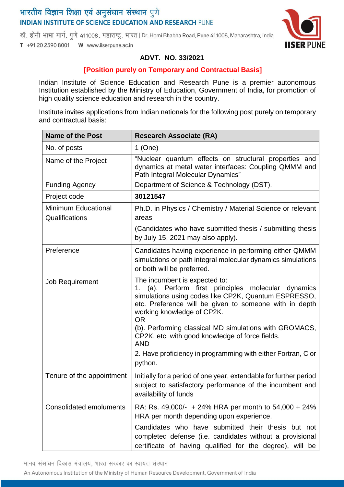# भारतीय विज्ञान शिक्षा एवं अनुसंधान संस्थान पुणे **INDIAN INSTITUTE OF SCIENCE EDUCATION AND RESEARCH PUNE**

डॉ. होमी भाभा मार्ग, पुणे 411008, महाराष्ट्र, भारत | Dr. Homi Bhabha Road, Pune 411008, Maharashtra, India T +91 20 2590 8001 W www.iiserpune.ac.in



### **ADVT. NO. 33/2021**

#### **[Position purely on Temporary and Contractual Basis]**

Indian Institute of Science Education and Research Pune is a premier autonomous Institution established by the Ministry of Education, Government of India, for promotion of high quality science education and research in the country.

Institute invites applications from Indian nationals for the following post purely on temporary and contractual basis:

| <b>Name of the Post</b>                      | <b>Research Associate (RA)</b>                                                                                                                                                                                                                                                                                                                                                                                                                             |
|----------------------------------------------|------------------------------------------------------------------------------------------------------------------------------------------------------------------------------------------------------------------------------------------------------------------------------------------------------------------------------------------------------------------------------------------------------------------------------------------------------------|
| No. of posts                                 | $1$ (One)                                                                                                                                                                                                                                                                                                                                                                                                                                                  |
| Name of the Project                          | "Nuclear quantum effects on structural properties and<br>dynamics at metal water interfaces: Coupling QMMM and<br>Path Integral Molecular Dynamics"                                                                                                                                                                                                                                                                                                        |
| <b>Funding Agency</b>                        | Department of Science & Technology (DST).                                                                                                                                                                                                                                                                                                                                                                                                                  |
| Project code                                 | 30121547                                                                                                                                                                                                                                                                                                                                                                                                                                                   |
| <b>Minimum Educational</b><br>Qualifications | Ph.D. in Physics / Chemistry / Material Science or relevant<br>areas                                                                                                                                                                                                                                                                                                                                                                                       |
|                                              | (Candidates who have submitted thesis / submitting thesis<br>by July 15, 2021 may also apply).                                                                                                                                                                                                                                                                                                                                                             |
| Preference                                   | Candidates having experience in performing either QMMM<br>simulations or path integral molecular dynamics simulations<br>or both will be preferred.                                                                                                                                                                                                                                                                                                        |
| <b>Job Requirement</b>                       | The incumbent is expected to:<br>1. (a). Perform first principles molecular<br>dynamics<br>simulations using codes like CP2K, Quantum ESPRESSO,<br>etc. Preference will be given to someone with in depth<br>working knowledge of CP2K.<br><b>OR</b><br>(b). Performing classical MD simulations with GROMACS,<br>CP2K, etc. with good knowledge of force fields.<br><b>AND</b><br>2. Have proficiency in programming with either Fortran, C or<br>python. |
| Tenure of the appointment                    | Initially for a period of one year, extendable for further period<br>subject to satisfactory performance of the incumbent and<br>availability of funds                                                                                                                                                                                                                                                                                                     |
| <b>Consolidated emoluments</b>               | RA: Rs. 49,000/- + 24% HRA per month to $54,000 + 24\%$<br>HRA per month depending upon experience.<br>Candidates who have submitted their thesis but not<br>completed defense (i.e. candidates without a provisional<br>certificate of having qualified for the degree), will be                                                                                                                                                                          |

मानव संसाधन विकास मंत्रालय, भारत सरकार का स्वायत्त संस्थान

An Autonomous Institution of the Ministry of Human Resource Development, Government of India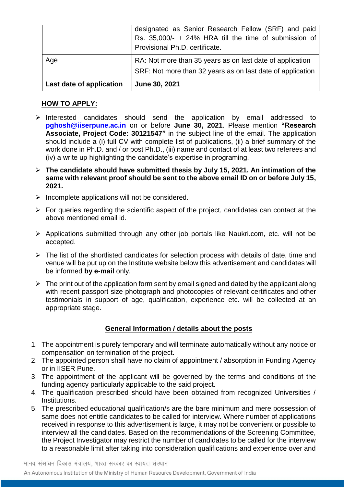|                          | designated as Senior Research Fellow (SRF) and paid<br>Rs. 35,000/- + 24% HRA till the time of submission of<br>Provisional Ph.D. certificate. |
|--------------------------|------------------------------------------------------------------------------------------------------------------------------------------------|
| Age                      | RA: Not more than 35 years as on last date of application<br>SRF: Not more than 32 years as on last date of application                        |
| Last date of application | June 30, 2021                                                                                                                                  |

## **HOW TO APPLY:**

- $\triangleright$  Interested candidates should send the application by email addressed to **pghosh@iiserpune.ac.in** on or before **June 30, 2021**. Please mention **"Research Associate, Project Code: 30121547"** in the subject line of the email. The application should include a (i) full CV with complete list of publications, (ii) a brief summary of the work done in Ph.D. and / or post Ph.D., (iii) name and contact of at least two referees and (iv) a write up highlighting the candidate's expertise in programing.
- **The candidate should have submitted thesis by July 15, 2021. An intimation of the same with relevant proof should be sent to the above email ID on or before July 15, 2021.**
- $\triangleright$  Incomplete applications will not be considered.
- $\triangleright$  For queries regarding the scientific aspect of the project, candidates can contact at the above mentioned email id.
- $\triangleright$  Applications submitted through any other job portals like Naukri.com, etc. will not be accepted.
- $\triangleright$  The list of the shortlisted candidates for selection process with details of date, time and venue will be put up on the Institute website below this advertisement and candidates will be informed **by e-mail** only.
- $\triangleright$  The print out of the application form sent by email signed and dated by the applicant along with recent passport size photograph and photocopies of relevant certificates and other testimonials in support of age, qualification, experience etc. will be collected at an appropriate stage.

#### **General Information / details about the posts**

- 1. The appointment is purely temporary and will terminate automatically without any notice or compensation on termination of the project.
- 2. The appointed person shall have no claim of appointment / absorption in Funding Agency or in IISER Pune.
- 3. The appointment of the applicant will be governed by the terms and conditions of the funding agency particularly applicable to the said project.
- 4. The qualification prescribed should have been obtained from recognized Universities / Institutions.
- 5. The prescribed educational qualification/s are the bare minimum and mere possession of same does not entitle candidates to be called for interview. Where number of applications received in response to this advertisement is large, it may not be convenient or possible to interview all the candidates. Based on the recommendations of the Screening Committee, the Project Investigator may restrict the number of candidates to be called for the interview to a reasonable limit after taking into consideration qualifications and experience over and